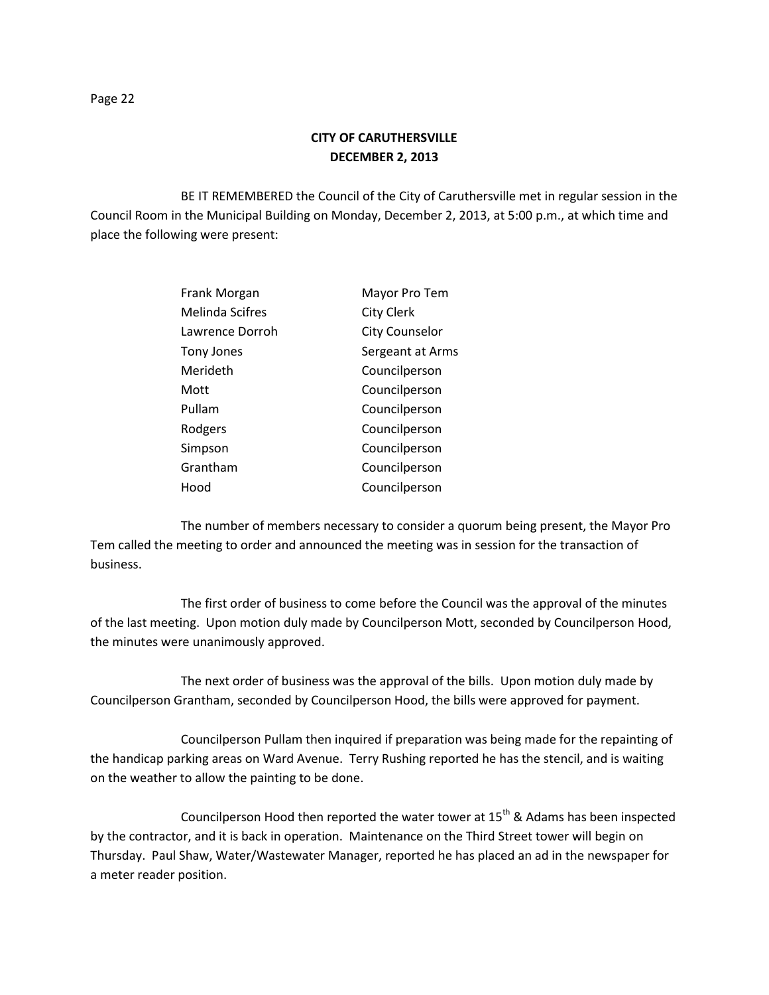BE IT REMEMBERED the Council of the City of Caruthersville met in regular session in the Council Room in the Municipal Building on Monday, December 2, 2013, at 5:00 p.m., at which time and place the following were present:

| Frank Morgan    | Mayor Pro Tem         |
|-----------------|-----------------------|
| Melinda Scifres | <b>City Clerk</b>     |
| Lawrence Dorroh | <b>City Counselor</b> |
| Tony Jones      | Sergeant at Arms      |
| Merideth        | Councilperson         |
| Mott            | Councilperson         |
| Pullam          | Councilperson         |
| Rodgers         | Councilperson         |
| Simpson         | Councilperson         |
| Grantham        | Councilperson         |
| Hood            | Councilperson         |

The number of members necessary to consider a quorum being present, the Mayor Pro Tem called the meeting to order and announced the meeting was in session for the transaction of business.

The first order of business to come before the Council was the approval of the minutes of the last meeting. Upon motion duly made by Councilperson Mott, seconded by Councilperson Hood, the minutes were unanimously approved.

The next order of business was the approval of the bills. Upon motion duly made by Councilperson Grantham, seconded by Councilperson Hood, the bills were approved for payment.

Councilperson Pullam then inquired if preparation was being made for the repainting of the handicap parking areas on Ward Avenue. Terry Rushing reported he has the stencil, and is waiting on the weather to allow the painting to be done.

Councilperson Hood then reported the water tower at  $15<sup>th</sup>$  & Adams has been inspected by the contractor, and it is back in operation. Maintenance on the Third Street tower will begin on Thursday. Paul Shaw, Water/Wastewater Manager, reported he has placed an ad in the newspaper for a meter reader position.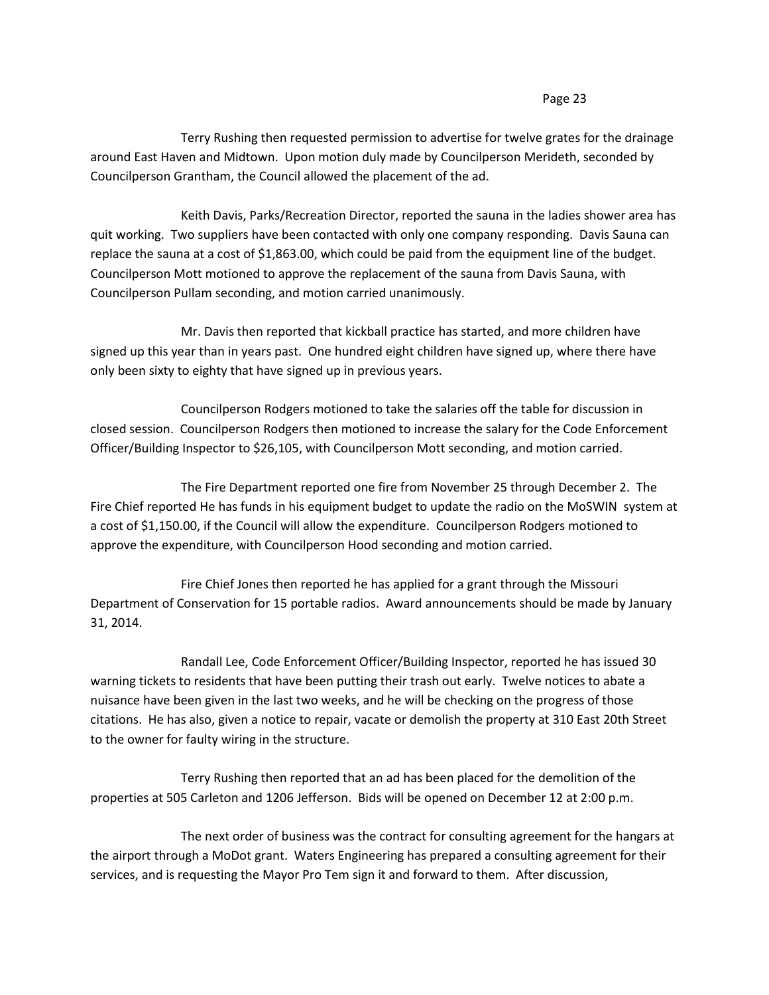## Page 23

Terry Rushing then requested permission to advertise for twelve grates for the drainage around East Haven and Midtown. Upon motion duly made by Councilperson Merideth, seconded by Councilperson Grantham, the Council allowed the placement of the ad.

Keith Davis, Parks/Recreation Director, reported the sauna in the ladies shower area has quit working. Two suppliers have been contacted with only one company responding. Davis Sauna can replace the sauna at a cost of \$1,863.00, which could be paid from the equipment line of the budget. Councilperson Mott motioned to approve the replacement of the sauna from Davis Sauna, with Councilperson Pullam seconding, and motion carried unanimously.

Mr. Davis then reported that kickball practice has started, and more children have signed up this year than in years past. One hundred eight children have signed up, where there have only been sixty to eighty that have signed up in previous years.

Councilperson Rodgers motioned to take the salaries off the table for discussion in closed session. Councilperson Rodgers then motioned to increase the salary for the Code Enforcement Officer/Building Inspector to \$26,105, with Councilperson Mott seconding, and motion carried.

The Fire Department reported one fire from November 25 through December 2. The Fire Chief reported He has funds in his equipment budget to update the radio on the MoSWIN system at a cost of \$1,150.00, if the Council will allow the expenditure. Councilperson Rodgers motioned to approve the expenditure, with Councilperson Hood seconding and motion carried.

Fire Chief Jones then reported he has applied for a grant through the Missouri Department of Conservation for 15 portable radios. Award announcements should be made by January 31, 2014.

Randall Lee, Code Enforcement Officer/Building Inspector, reported he has issued 30 warning tickets to residents that have been putting their trash out early. Twelve notices to abate a nuisance have been given in the last two weeks, and he will be checking on the progress of those citations. He has also, given a notice to repair, vacate or demolish the property at 310 East 20th Street to the owner for faulty wiring in the structure.

Terry Rushing then reported that an ad has been placed for the demolition of the properties at 505 Carleton and 1206 Jefferson. Bids will be opened on December 12 at 2:00 p.m.

The next order of business was the contract for consulting agreement for the hangars at the airport through a MoDot grant. Waters Engineering has prepared a consulting agreement for their services, and is requesting the Mayor Pro Tem sign it and forward to them. After discussion,